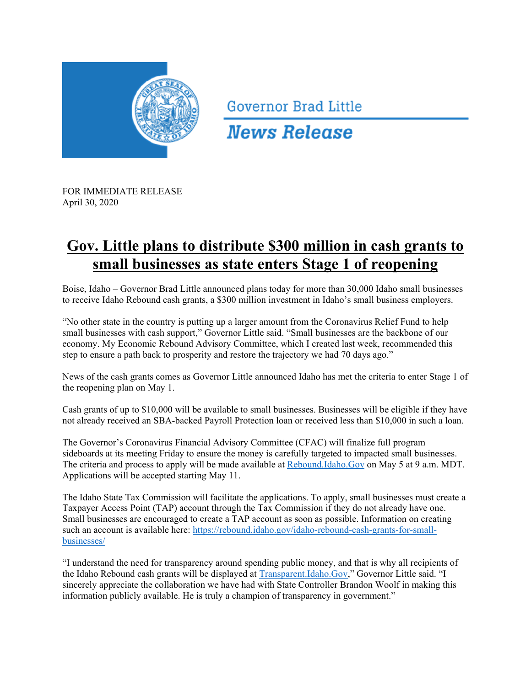

**Governor Brad Little** 

**News Release** 

FOR IMMEDIATE RELEASE April 30, 2020

## **Gov. Little plans to distribute \$300 million in cash grants to small businesses as state enters Stage 1 of reopening**

Boise, Idaho – Governor Brad Little announced plans today for more than 30,000 Idaho small businesses to receive Idaho Rebound cash grants, a \$300 million investment in Idaho's small business employers.

"No other state in the country is putting up a larger amount from the Coronavirus Relief Fund to help small businesses with cash support," Governor Little said. "Small businesses are the backbone of our economy. My Economic Rebound Advisory Committee, which I created last week, recommended this step to ensure a path back to prosperity and restore the trajectory we had 70 days ago."

News of the cash grants comes as Governor Little announced Idaho has met the criteria to enter Stage 1 of the reopening plan on May 1.

Cash grants of up to \$10,000 will be available to small businesses. Businesses will be eligible if they have not already received an SBA-backed Payroll Protection loan or received less than \$10,000 in such a loan.

The Governor's Coronavirus Financial Advisory Committee (CFAC) will finalize full program sideboards at its meeting Friday to ensure the money is carefully targeted to impacted small businesses. The criteria and process to apply will be made available at Rebound.Idaho.Gov on May 5 at 9 a.m. MDT. Applications will be accepted starting May 11.

The Idaho State Tax Commission will facilitate the applications. To apply, small businesses must create a Taxpayer Access Point (TAP) account through the Tax Commission if they do not already have one. Small businesses are encouraged to create a TAP account as soon as possible. Information on creating such an account is available here: https://rebound.idaho.gov/idaho-rebound-cash-grants-for-smallbusinesses/

"I understand the need for transparency around spending public money, and that is why all recipients of the Idaho Rebound cash grants will be displayed at Transparent.Idaho.Gov," Governor Little said. "I sincerely appreciate the collaboration we have had with State Controller Brandon Woolf in making this information publicly available. He is truly a champion of transparency in government."